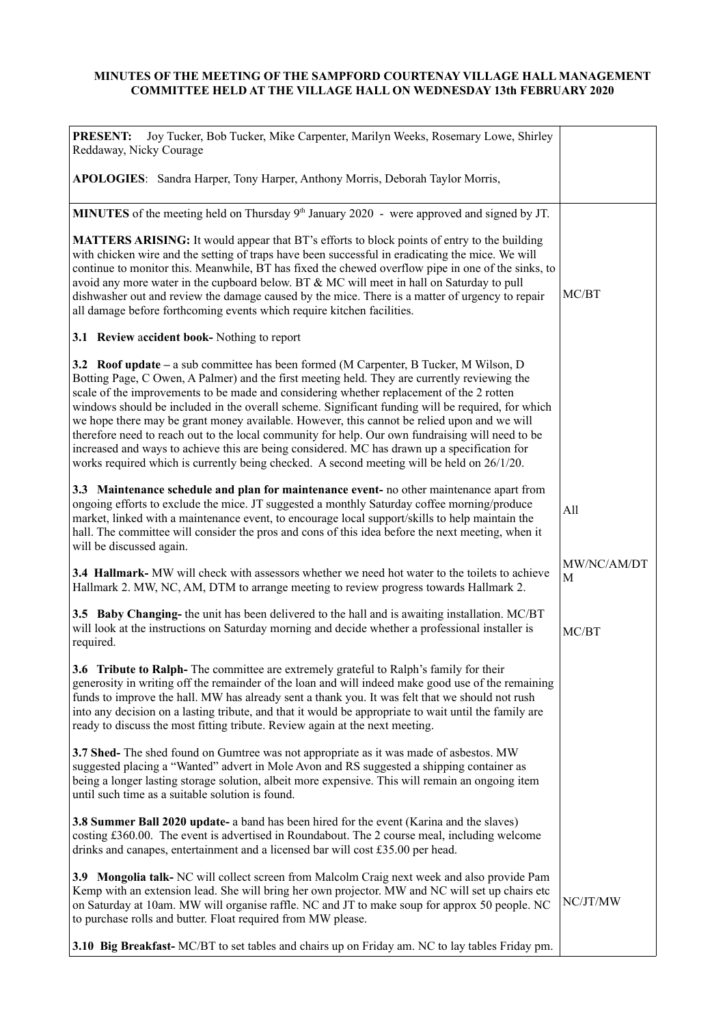## **MINUTES OF THE MEETING OF THE SAMPFORD COURTENAY VILLAGE HALL MANAGEMENT COMMITTEE HELD AT THE VILLAGE HALL ON WEDNESDAY 13th FEBRUARY 2020**

| Joy Tucker, Bob Tucker, Mike Carpenter, Marilyn Weeks, Rosemary Lowe, Shirley<br><b>PRESENT:</b><br>Reddaway, Nicky Courage                                                                                                                                                                                                                                                                                                                                                                                                                                                                                                                                                                                                                                                             |                  |
|-----------------------------------------------------------------------------------------------------------------------------------------------------------------------------------------------------------------------------------------------------------------------------------------------------------------------------------------------------------------------------------------------------------------------------------------------------------------------------------------------------------------------------------------------------------------------------------------------------------------------------------------------------------------------------------------------------------------------------------------------------------------------------------------|------------------|
| APOLOGIES: Sandra Harper, Tony Harper, Anthony Morris, Deborah Taylor Morris,                                                                                                                                                                                                                                                                                                                                                                                                                                                                                                                                                                                                                                                                                                           |                  |
| MINUTES of the meeting held on Thursday 9 <sup>th</sup> January 2020 - were approved and signed by JT.                                                                                                                                                                                                                                                                                                                                                                                                                                                                                                                                                                                                                                                                                  |                  |
| <b>MATTERS ARISING:</b> It would appear that BT's efforts to block points of entry to the building<br>with chicken wire and the setting of traps have been successful in eradicating the mice. We will<br>continue to monitor this. Meanwhile, BT has fixed the chewed overflow pipe in one of the sinks, to<br>avoid any more water in the cupboard below. BT & MC will meet in hall on Saturday to pull<br>dishwasher out and review the damage caused by the mice. There is a matter of urgency to repair<br>all damage before forthcoming events which require kitchen facilities.                                                                                                                                                                                                  | MC/BT            |
| 3.1 Review accident book- Nothing to report                                                                                                                                                                                                                                                                                                                                                                                                                                                                                                                                                                                                                                                                                                                                             |                  |
| 3.2 Roof update – a sub committee has been formed (M Carpenter, B Tucker, M Wilson, D<br>Botting Page, C Owen, A Palmer) and the first meeting held. They are currently reviewing the<br>scale of the improvements to be made and considering whether replacement of the 2 rotten<br>windows should be included in the overall scheme. Significant funding will be required, for which<br>we hope there may be grant money available. However, this cannot be relied upon and we will<br>therefore need to reach out to the local community for help. Our own fundraising will need to be<br>increased and ways to achieve this are being considered. MC has drawn up a specification for<br>works required which is currently being checked. A second meeting will be held on 26/1/20. |                  |
| 3.3 Maintenance schedule and plan for maintenance event- no other maintenance apart from<br>ongoing efforts to exclude the mice. JT suggested a monthly Saturday coffee morning/produce<br>market, linked with a maintenance event, to encourage local support/skills to help maintain the<br>hall. The committee will consider the pros and cons of this idea before the next meeting, when it<br>will be discussed again.                                                                                                                                                                                                                                                                                                                                                             | All              |
| 3.4 Hallmark- MW will check with assessors whether we need hot water to the toilets to achieve<br>Hallmark 2. MW, NC, AM, DTM to arrange meeting to review progress towards Hallmark 2.                                                                                                                                                                                                                                                                                                                                                                                                                                                                                                                                                                                                 | MW/NC/AM/DT<br>M |
| 3.5 Baby Changing- the unit has been delivered to the hall and is awaiting installation. MC/BT<br>will look at the instructions on Saturday morning and decide whether a professional installer is<br>required.                                                                                                                                                                                                                                                                                                                                                                                                                                                                                                                                                                         | MC/BT            |
| 3.6 Tribute to Ralph- The committee are extremely grateful to Ralph's family for their<br>generosity in writing off the remainder of the loan and will indeed make good use of the remaining<br>funds to improve the hall. MW has already sent a thank you. It was felt that we should not rush<br>into any decision on a lasting tribute, and that it would be appropriate to wait until the family are<br>ready to discuss the most fitting tribute. Review again at the next meeting.                                                                                                                                                                                                                                                                                                |                  |
| 3.7 Shed- The shed found on Gumtree was not appropriate as it was made of asbestos. MW<br>suggested placing a "Wanted" advert in Mole Avon and RS suggested a shipping container as<br>being a longer lasting storage solution, albeit more expensive. This will remain an ongoing item<br>until such time as a suitable solution is found.                                                                                                                                                                                                                                                                                                                                                                                                                                             |                  |
| <b>3.8 Summer Ball 2020 update-</b> a band has been hired for the event (Karina and the slaves)<br>costing £360.00. The event is advertised in Roundabout. The 2 course meal, including welcome<br>drinks and canapes, entertainment and a licensed bar will cost £35.00 per head.                                                                                                                                                                                                                                                                                                                                                                                                                                                                                                      |                  |
| 3.9 Mongolia talk- NC will collect screen from Malcolm Craig next week and also provide Pam<br>Kemp with an extension lead. She will bring her own projector. MW and NC will set up chairs etc<br>on Saturday at 10am. MW will organise raffle. NC and JT to make soup for approx 50 people. NC<br>to purchase rolls and butter. Float required from MW please.                                                                                                                                                                                                                                                                                                                                                                                                                         | NC/JT/MW         |
| 3.10 Big Breakfast- MC/BT to set tables and chairs up on Friday am. NC to lay tables Friday pm.                                                                                                                                                                                                                                                                                                                                                                                                                                                                                                                                                                                                                                                                                         |                  |